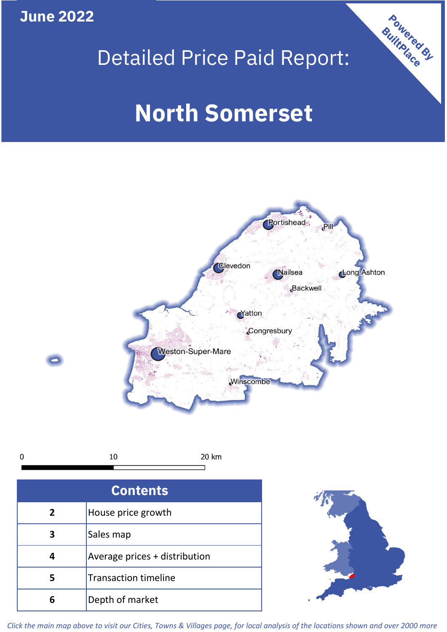**June 2022**





*Click the main map above to visit our Cities, Towns & Villages page, for local analysis of the locations shown and over 2000 more*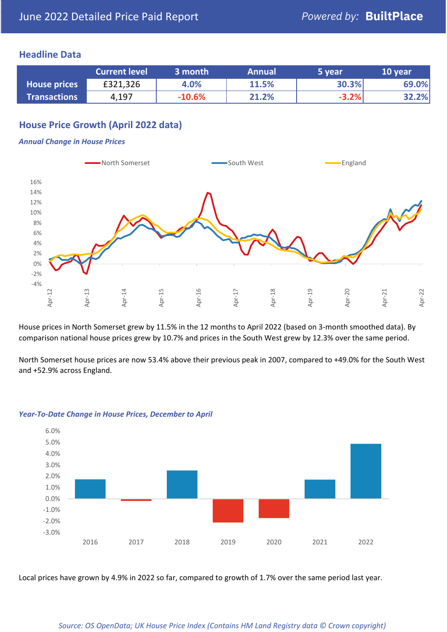### **Headline Data**

|                     | <b>Current level</b> | 3 month  | <b>Annual</b> | 5 year  | 10 year |
|---------------------|----------------------|----------|---------------|---------|---------|
| <b>House prices</b> | £321,326             | 4.0%     | 11.5%         | 30.3%   | 69.0%   |
| <b>Transactions</b> | 4,197                | $-10.6%$ | 21.2%         | $-3.2%$ | 32.2%   |

# **House Price Growth (April 2022 data)**

#### *Annual Change in House Prices*



House prices in North Somerset grew by 11.5% in the 12 months to April 2022 (based on 3-month smoothed data). By comparison national house prices grew by 10.7% and prices in the South West grew by 12.3% over the same period.

North Somerset house prices are now 53.4% above their previous peak in 2007, compared to +49.0% for the South West and +52.9% across England.



#### *Year-To-Date Change in House Prices, December to April*

Local prices have grown by 4.9% in 2022 so far, compared to growth of 1.7% over the same period last year.

#### *Source: OS OpenData; UK House Price Index (Contains HM Land Registry data © Crown copyright)*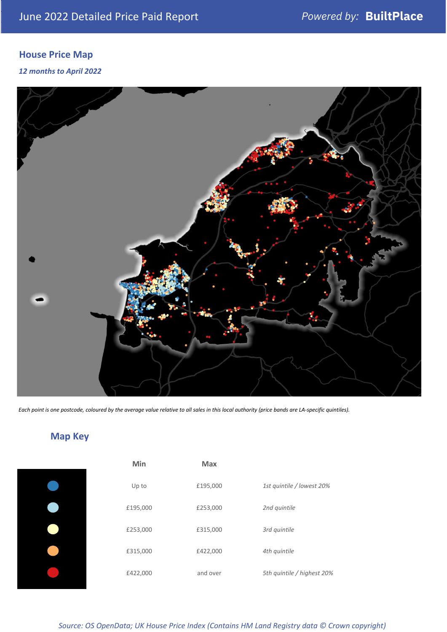# **House Price Map**

### *12 months to April 2022*



*Each point is one postcode, coloured by the average value relative to all sales in this local authority (price bands are LA-specific quintiles).*

# **Map Key**

| Min      | <b>Max</b> |                            |
|----------|------------|----------------------------|
| Up to    | £195,000   | 1st quintile / lowest 20%  |
| £195,000 | £253,000   | 2nd quintile               |
| £253,000 | £315,000   | 3rd quintile               |
| £315,000 | £422,000   | 4th quintile               |
| £422,000 | and over   | 5th quintile / highest 20% |
|          |            |                            |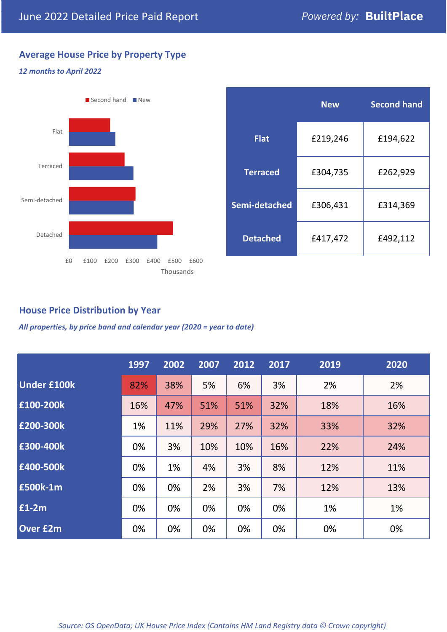# **Average House Price by Property Type**

### *12 months to April 2022*



|                 | <b>New</b> | <b>Second hand</b> |  |
|-----------------|------------|--------------------|--|
| <b>Flat</b>     | £219,246   | £194,622           |  |
| <b>Terraced</b> | £304,735   | £262,929           |  |
| Semi-detached   | £306,431   | £314,369           |  |
| <b>Detached</b> | £417,472   | £492,112           |  |

### **House Price Distribution by Year**

*All properties, by price band and calendar year (2020 = year to date)*

|                    | 1997 | 2002 | 2007 | 2012 | 2017 | 2019 | 2020 |
|--------------------|------|------|------|------|------|------|------|
| <b>Under £100k</b> | 82%  | 38%  | 5%   | 6%   | 3%   | 2%   | 2%   |
| £100-200k          | 16%  | 47%  | 51%  | 51%  | 32%  | 18%  | 16%  |
| E200-300k          | 1%   | 11%  | 29%  | 27%  | 32%  | 33%  | 32%  |
| £300-400k          | 0%   | 3%   | 10%  | 10%  | 16%  | 22%  | 24%  |
| £400-500k          | 0%   | 1%   | 4%   | 3%   | 8%   | 12%  | 11%  |
| <b>£500k-1m</b>    | 0%   | 0%   | 2%   | 3%   | 7%   | 12%  | 13%  |
| £1-2m              | 0%   | 0%   | 0%   | 0%   | 0%   | 1%   | 1%   |
| <b>Over £2m</b>    | 0%   | 0%   | 0%   | 0%   | 0%   | 0%   | 0%   |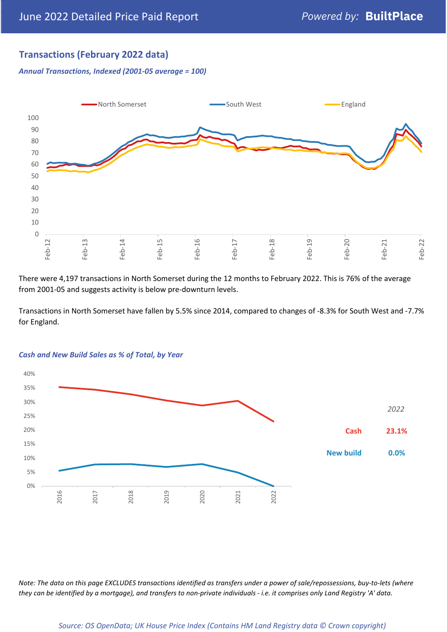# **Transactions (February 2022 data)**

*Annual Transactions, Indexed (2001-05 average = 100)*



There were 4,197 transactions in North Somerset during the 12 months to February 2022. This is 76% of the average from 2001-05 and suggests activity is below pre-downturn levels.

Transactions in North Somerset have fallen by 5.5% since 2014, compared to changes of -8.3% for South West and -7.7% for England.



### *Cash and New Build Sales as % of Total, by Year*

*Note: The data on this page EXCLUDES transactions identified as transfers under a power of sale/repossessions, buy-to-lets (where they can be identified by a mortgage), and transfers to non-private individuals - i.e. it comprises only Land Registry 'A' data.*